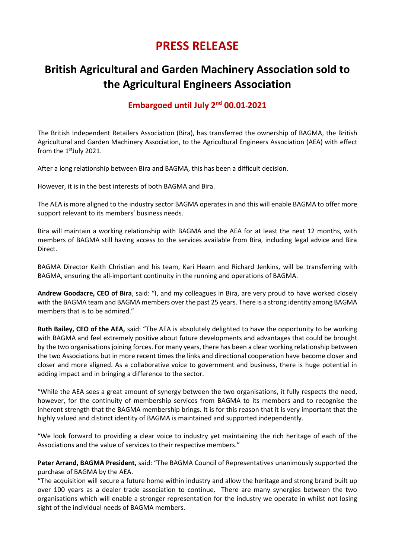## **PRESS RELEASE**

## **British Agricultural and Garden Machinery Association sold to the Agricultural Engineers Association**

## Embargoed until July 2<sup>nd</sup> 00.01-2021

The British Independent Retailers Association (Bira), has transferred the ownership of BAGMA, the British Agricultural and Garden Machinery Association, to the Agricultural Engineers Association (AEA) with effect from the  $1<sup>st</sup>$  July 2021.

After a long relationship between Bira and BAGMA, this has been a difficult decision.

However, it is in the best interests of both BAGMA and Bira.

The AEA is more aligned to the industry sector BAGMA operates in and this will enable BAGMA to offer more support relevant to its members' business needs.

Bira will maintain a working relationship with BAGMA and the AEA for at least the next 12 months, with members of BAGMA still having access to the services available from Bira, including legal advice and Bira Direct.

BAGMA Director Keith Christian and his team, Kari Hearn and Richard Jenkins, will be transferring with BAGMA, ensuring the all-important continuity in the running and operations of BAGMA.

**Andrew Goodacre, CEO of Bira**, said: "I, and my colleagues in Bira, are very proud to have worked closely with the BAGMA team and BAGMA members over the past 25 years. There is a strong identity among BAGMA members that is to be admired."

**Ruth Bailey, CEO of the AEA,** said: "The AEA is absolutely delighted to have the opportunity to be working with BAGMA and feel extremely positive about future developments and advantages that could be brought by the two organisations joining forces. For many years, there has been a clear working relationship between the two Associations but in more recent times the links and directional cooperation have become closer and closer and more aligned. As a collaborative voice to government and business, there is huge potential in adding impact and in bringing a difference to the sector.

"While the AEA sees a great amount of synergy between the two organisations, it fully respects the need, however, for the continuity of membership services from BAGMA to its members and to recognise the inherent strength that the BAGMA membership brings. It is for this reason that it is very important that the highly valued and distinct identity of BAGMA is maintained and supported independently.

"We look forward to providing a clear voice to industry yet maintaining the rich heritage of each of the Associations and the value of services to their respective members."

**Peter Arrand, BAGMA President,** said: "The BAGMA Council of Representatives unanimously supported the purchase of BAGMA by the AEA.

"The acquisition will secure a future home within industry and allow the heritage and strong brand built up over 100 years as a dealer trade association to continue. There are many synergies between the two organisations which will enable a stronger representation for the industry we operate in whilst not losing sight of the individual needs of BAGMA members.